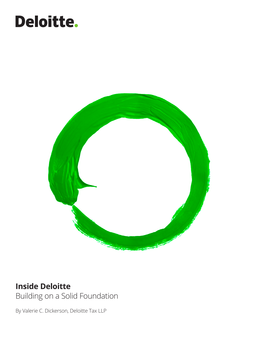# Deloitte.



### **Inside Deloitte** Building on a Solid Foundation

By Valerie C. Dickerson, Deloitte Tax LLP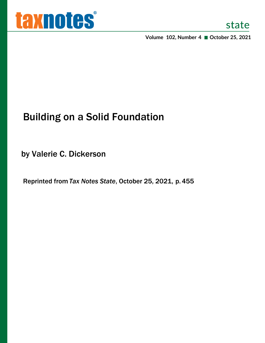

**Volume 102, Number 4 October 25, 2021**

## Building on a Solid Foundation

by Valerie C. Dickerson

Reprinted from *Tax Notes State*, October 25, 2021, p.455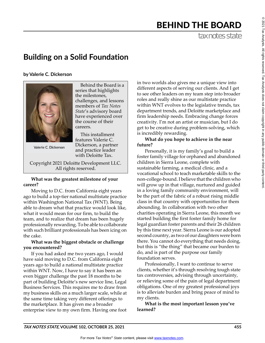### BEHIND THE BOARD

tax notes state

### **Building on a Solid Foundation**

**by Valerie C. Dickerson**



Behind the Board is a series that highlights the milestones, challenges, and lessons members of *Tax Notes State*'s advisory board have experienced over the course of their careers.

This installment

and practice leader with Deloitte Tax.

Valerie C. Dickerson

Copyright 2021 Deloitte Development LLC. All rights reserved.

#### **What was the greatest milestone of your career?**

Moving to D.C. from California eight years ago to build a top-tier national multistate practice within Washington National Tax (WNT). Being able to dream what that practice would look like, what it would mean for our firm, to build the team, and to realize that dream has been hugely professionally rewarding. To be able to collaborate with such brilliant professionals has been icing on the cake.

#### **What was the biggest obstacle or challenge you encountered?**

If you had asked me two years ago, I would have said moving to D.C. from California eight years ago to build a national multistate practice within WNT. Now, I have to say it has been an even bigger challenge the past 18 months to be part of building Deloitte's new service line, Legal Business Services. This requires me to draw from my business skills on a much larger scale, while at the same time taking very different offerings to the marketplace. It has given me a broader enterprise view to my own firm. Having one foot in two worlds also gives me a unique view into different aspects of serving our clients. And I get to see other leaders on my team step into broader roles and really shine as our multistate practice within WNT evolves to the legislative trends, tax department trends, and Deloitte marketplace and firm leadership needs. Embracing change forces creativity. I'm not an artist or musician, but I do get to be creative during problem-solving, which is incredibly rewarding.

#### **What do you hope to achieve in the near future?**

Personally, it is my family's goal to build a foster family village for orphaned and abandoned children in Sierra Leone, complete with sustainable farming, a medical clinic, and a vocational school to teach marketable skills to the non-college-bound. I believe that the children who will grow up in that village, nurtured and guided in a loving family community environment, will be the part of the fabric of a robust rising middle class in that country with opportunities for them abounding. In collaboration with two other charities operating in Sierra Leone, this month we started building the first foster family home for legal guardian foster parents and their 26 children by this time next year. Sierra Leone is our adopted second country, as two of our daughters were born there. You cannot do everything that needs doing, but this is "the thing" that became our burden to do, and is part of the purpose our family foundation serves.

Professionally, I want to continue to serve clients, whether it's through resolving tough state tax controversies, advising through uncertainty, or relieving some of the pain of legal department obligations. One of my greatest professional joys is to alleviate burden and bring peace of mind to my clients.

**What is the most important lesson you've learned?**